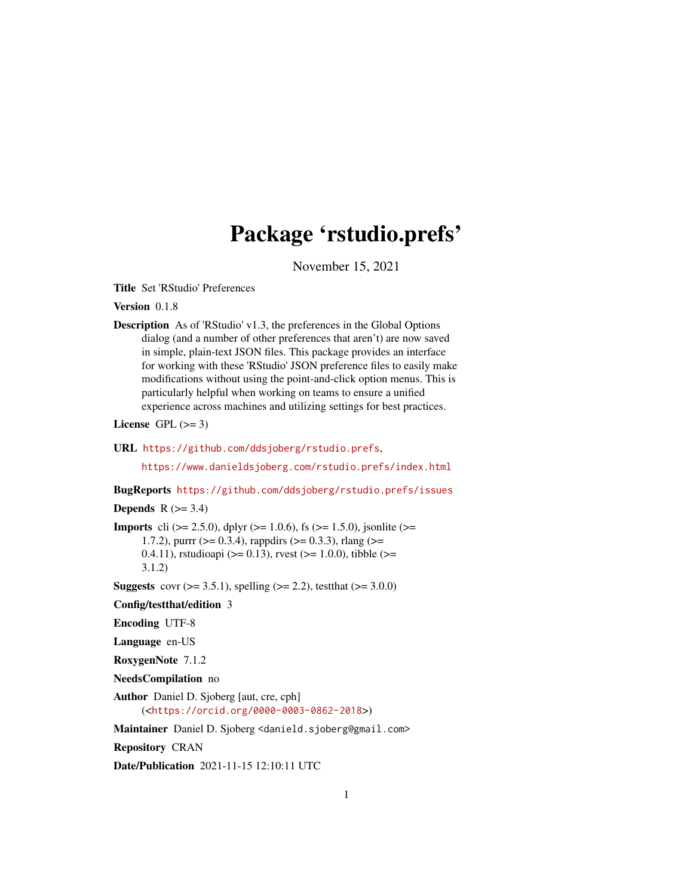# Package 'rstudio.prefs'

November 15, 2021

<span id="page-0-0"></span>Title Set 'RStudio' Preferences

Version 0.1.8

Description As of 'RStudio' v1.3, the preferences in the Global Options dialog (and a number of other preferences that aren't) are now saved in simple, plain-text JSON files. This package provides an interface for working with these 'RStudio' JSON preference files to easily make modifications without using the point-and-click option menus. This is particularly helpful when working on teams to ensure a unified experience across machines and utilizing settings for best practices.

License GPL  $(>= 3)$ 

#### URL <https://github.com/ddsjoberg/rstudio.prefs>,

<https://www.danieldsjoberg.com/rstudio.prefs/index.html>

BugReports <https://github.com/ddsjoberg/rstudio.prefs/issues>

#### **Depends**  $R$  ( $>= 3.4$ )

**Imports** cli ( $>= 2.5.0$ ), dplyr ( $>= 1.0.6$ ), fs ( $>= 1.5.0$ ), jsonlite ( $>= 1.5.0$ ) 1.7.2), purrr ( $>= 0.3.4$ ), rappdirs ( $>= 0.3.3$ ), rlang ( $>= 1.7.2$ ) 0.4.11), rstudioapi ( $>= 0.13$ ), rvest ( $>= 1.0.0$ ), tibble ( $>= 0.13$ ) 3.1.2)

**Suggests** covr ( $>= 3.5.1$ ), spelling ( $>= 2.2$ ), test that ( $>= 3.0.0$ )

Config/testthat/edition 3

Encoding UTF-8

Language en-US

RoxygenNote 7.1.2

NeedsCompilation no

Author Daniel D. Sjoberg [aut, cre, cph] (<<https://orcid.org/0000-0003-0862-2018>>)

Maintainer Daniel D. Sjoberg <danield.sjoberg@gmail.com>

Repository CRAN

Date/Publication 2021-11-15 12:10:11 UTC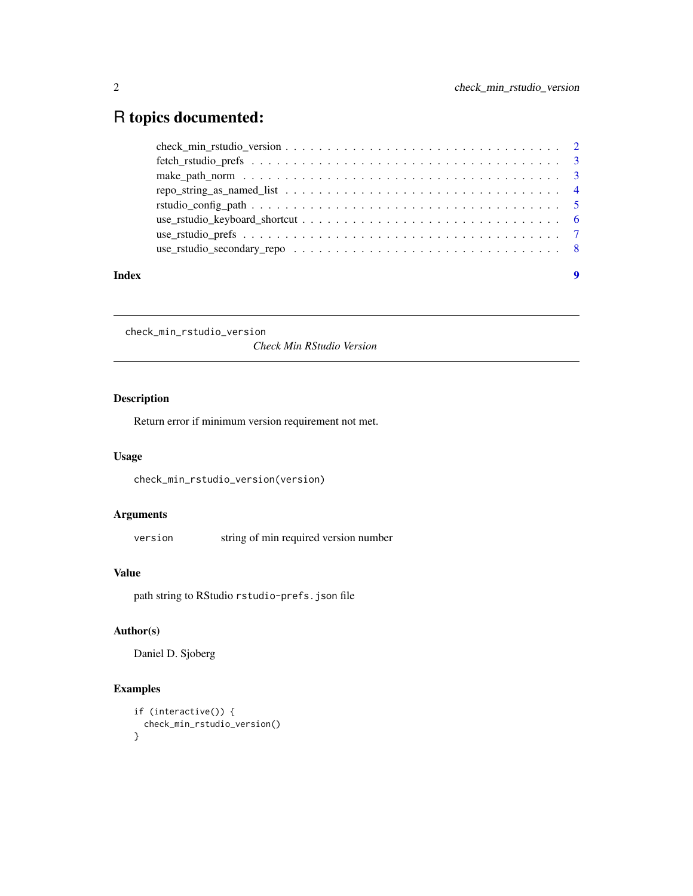## <span id="page-1-0"></span>R topics documented:

| repo_string_as_named_list $\dots \dots \dots \dots \dots \dots \dots \dots \dots \dots \dots \dots \dots \dots$ |  |
|-----------------------------------------------------------------------------------------------------------------|--|
|                                                                                                                 |  |
|                                                                                                                 |  |
|                                                                                                                 |  |

check\_min\_rstudio\_version

*Check Min RStudio Version*

#### Description

Return error if minimum version requirement not met.

#### Usage

```
check_min_rstudio_version(version)
```
#### Arguments

version string of min required version number

#### Value

path string to RStudio rstudio-prefs.json file

#### Author(s)

Daniel D. Sjoberg

```
if (interactive()) {
  check_min_rstudio_version()
}
```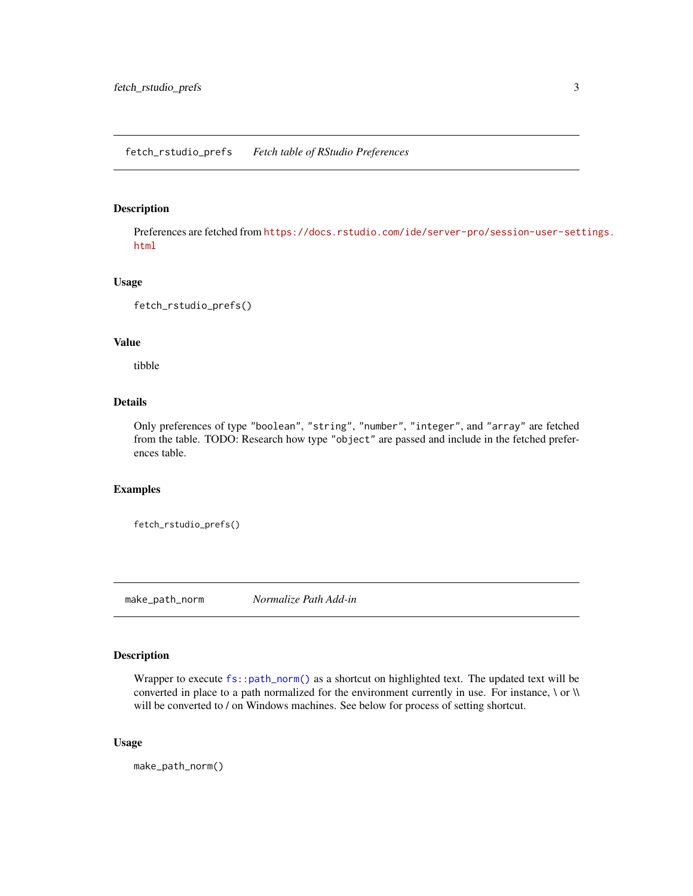#### <span id="page-2-0"></span>fetch\_rstudio\_prefs *Fetch table of RStudio Preferences*

#### Description

Preferences are fetched from [https://docs.rstudio.com/ide/server-pro/session-user-set](https://docs.rstudio.com/ide/server-pro/session-user-settings.html)tings. [html](https://docs.rstudio.com/ide/server-pro/session-user-settings.html)

#### Usage

fetch\_rstudio\_prefs()

### Value

tibble

#### Details

Only preferences of type "boolean", "string", "number", "integer", and "array" are fetched from the table. TODO: Research how type "object" are passed and include in the fetched preferences table.

#### Examples

fetch\_rstudio\_prefs()

make\_path\_norm *Normalize Path Add-in*

#### Description

Wrapper to execute  $fs:path\_norm()$  as a shortcut on highlighted text. The updated text will be converted in place to a path normalized for the environment currently in use. For instance,  $\setminus$  or  $\setminus$ will be converted to / on Windows machines. See below for process of setting shortcut.

#### Usage

make\_path\_norm()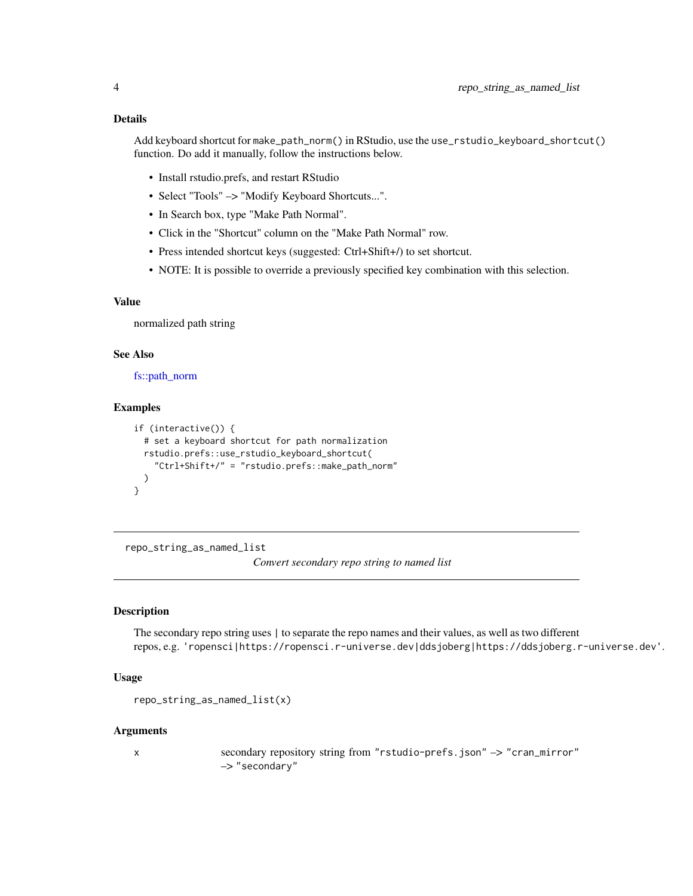#### <span id="page-3-0"></span>Details

Add keyboard shortcut for make\_path\_norm() in RStudio, use the use\_rstudio\_keyboard\_shortcut() function. Do add it manually, follow the instructions below.

- Install rstudio.prefs, and restart RStudio
- Select "Tools" -> "Modify Keyboard Shortcuts...".
- In Search box, type "Make Path Normal".
- Click in the "Shortcut" column on the "Make Path Normal" row.
- Press intended shortcut keys (suggested: Ctrl+Shift+/) to set shortcut.
- NOTE: It is possible to override a previously specified key combination with this selection.

#### Value

normalized path string

#### See Also

[fs::path\\_norm](#page-0-0)

#### Examples

```
if (interactive()) {
 # set a keyboard shortcut for path normalization
 rstudio.prefs::use_rstudio_keyboard_shortcut(
    "Ctrl+Shift+/" = "rstudio.prefs::make_path_norm"
 )
}
```
repo\_string\_as\_named\_list

*Convert secondary repo string to named list*

#### Description

The secondary repo string uses | to separate the repo names and their values, as well as two different repos, e.g. 'ropensci|https://ropensci.r-universe.dev|ddsjoberg|https://ddsjoberg.r-universe.dev'.

#### Usage

```
repo_string_as_named_list(x)
```
#### Arguments

x secondary repository string from "rstudio-prefs.json" –> "cran\_mirror" –> "secondary"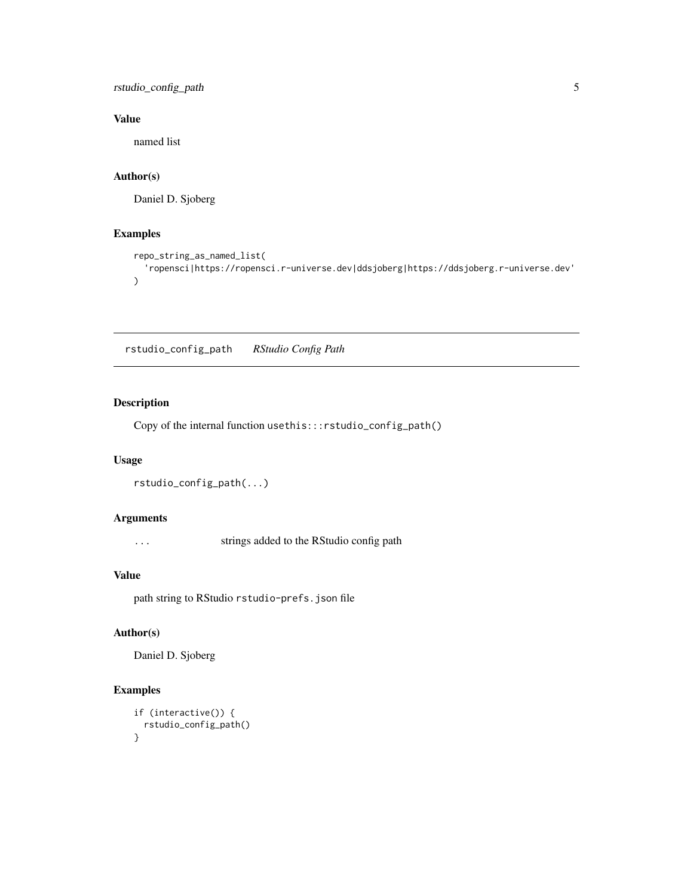<span id="page-4-0"></span>rstudio\_config\_path 5

#### Value

named list

#### Author(s)

Daniel D. Sjoberg

#### Examples

```
repo_string_as_named_list(
  'ropensci|https://ropensci.r-universe.dev|ddsjoberg|https://ddsjoberg.r-universe.dev'
\mathcal{L}
```
rstudio\_config\_path *RStudio Config Path*

#### Description

Copy of the internal function usethis:::rstudio\_config\_path()

#### Usage

```
rstudio_config_path(...)
```
#### Arguments

... strings added to the RStudio config path

#### Value

path string to RStudio rstudio-prefs.json file

#### Author(s)

Daniel D. Sjoberg

```
if (interactive()) {
 rstudio_config_path()
}
```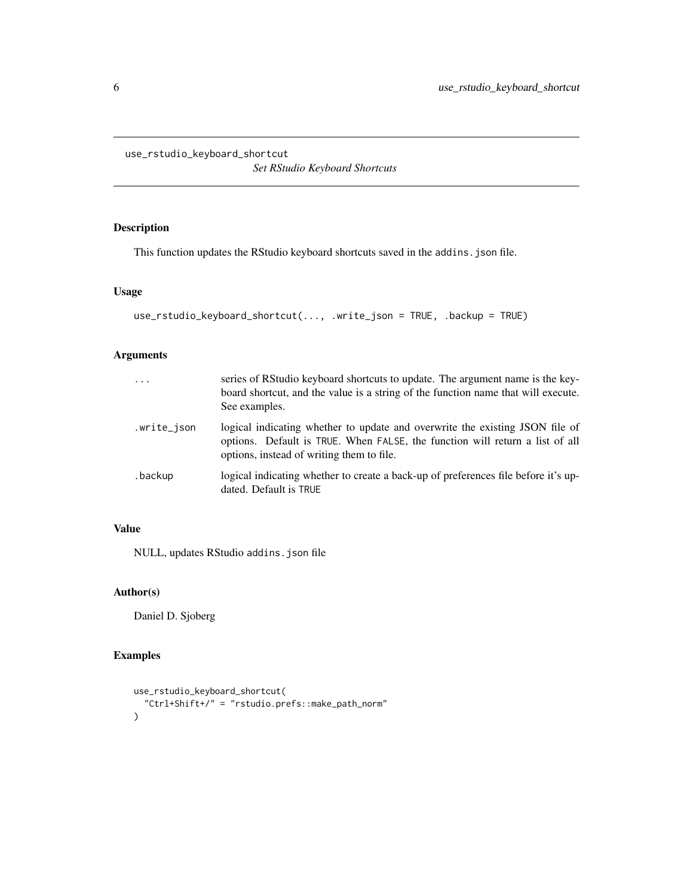<span id="page-5-0"></span>use\_rstudio\_keyboard\_shortcut

*Set RStudio Keyboard Shortcuts*

#### Description

This function updates the RStudio keyboard shortcuts saved in the addins.json file.

#### Usage

```
use_rstudio_keyboard_shortcut(..., .write_json = TRUE, .backup = TRUE)
```
#### Arguments

| $\ddotsc$   | series of RStudio keyboard shortcuts to update. The argument name is the key-<br>board shortcut, and the value is a string of the function name that will execute.<br>See examples.                       |
|-------------|-----------------------------------------------------------------------------------------------------------------------------------------------------------------------------------------------------------|
| .write_json | logical indicating whether to update and overwrite the existing JSON file of<br>options. Default is TRUE. When FALSE, the function will return a list of all<br>options, instead of writing them to file. |
| .backup     | logical indicating whether to create a back-up of preferences file before it's up-<br>dated. Default is TRUE                                                                                              |

#### Value

NULL, updates RStudio addins.json file

#### Author(s)

Daniel D. Sjoberg

```
use_rstudio_keyboard_shortcut(
  "Ctrl+Shift+/" = "rstudio.prefs::make_path_norm"
\mathcal{L}
```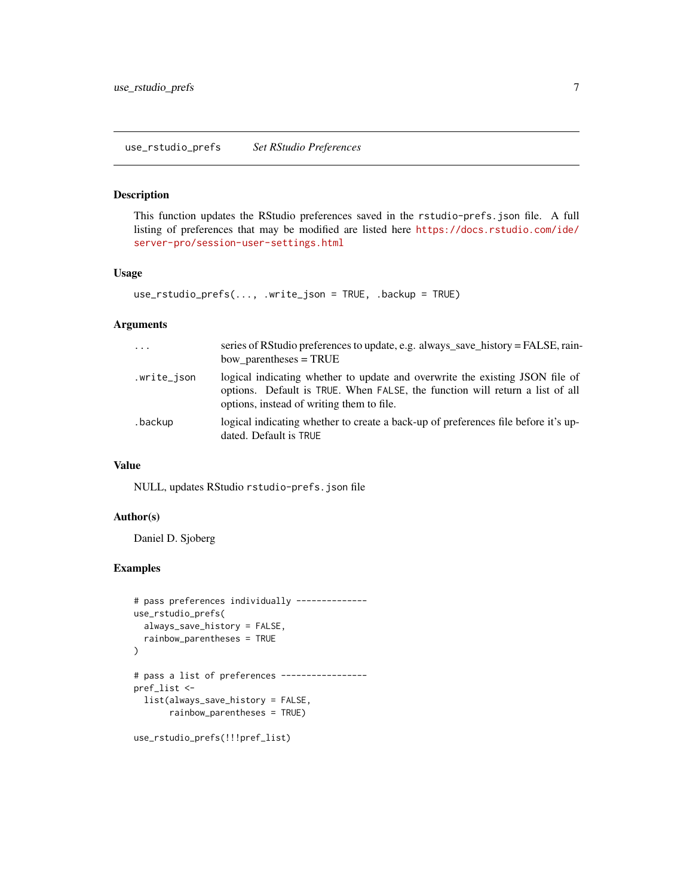#### <span id="page-6-0"></span>Description

This function updates the RStudio preferences saved in the rstudio-prefs.json file. A full listing of preferences that may be modified are listed here [https://docs.rstudio.com/ide/](https://docs.rstudio.com/ide/server-pro/session-user-settings.html) [server-pro/session-user-settings.html](https://docs.rstudio.com/ide/server-pro/session-user-settings.html)

#### Usage

```
use_rstudio_prefs(..., .write_json = TRUE, .backup = TRUE)
```
#### Arguments

| $\cdots$    | series of RStudio preferences to update, e.g. always_save_history = FALSE, rain-<br>bow parentheses $=$ TRUE                                                                                              |
|-------------|-----------------------------------------------------------------------------------------------------------------------------------------------------------------------------------------------------------|
| .write_json | logical indicating whether to update and overwrite the existing JSON file of<br>options. Default is TRUE. When FALSE, the function will return a list of all<br>options, instead of writing them to file. |
| .backup     | logical indicating whether to create a back-up of preferences file before it's up-<br>dated. Default is TRUE                                                                                              |

#### Value

NULL, updates RStudio rstudio-prefs.json file

#### Author(s)

Daniel D. Sjoberg

```
# pass preferences individually --------------
use_rstudio_prefs(
  always_save_history = FALSE,
  rainbow_parentheses = TRUE
)
# pass a list of preferences -----------------
pref_list <-
  list(always_save_history = FALSE,
       rainbow_parentheses = TRUE)
use_rstudio_prefs(!!!pref_list)
```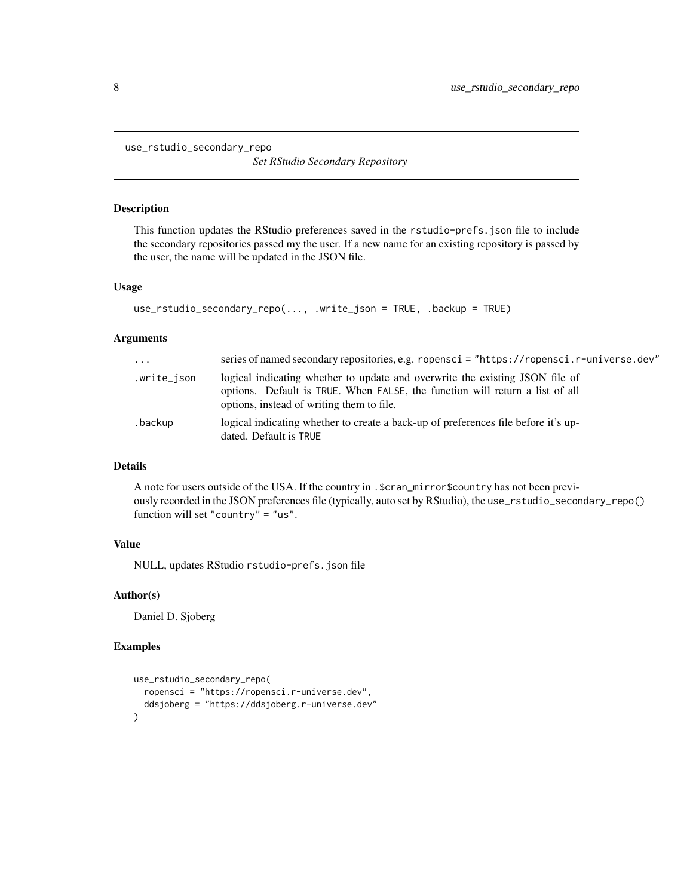<span id="page-7-0"></span>use\_rstudio\_secondary\_repo

*Set RStudio Secondary Repository*

#### Description

This function updates the RStudio preferences saved in the rstudio-prefs.json file to include the secondary repositories passed my the user. If a new name for an existing repository is passed by the user, the name will be updated in the JSON file.

#### Usage

```
use_rstudio_secondary_repo(..., .write_json = TRUE, .backup = TRUE)
```
#### Arguments

| $\cdot \cdot \cdot$ | series of named secondary repositories, e.g. ropensci = "https://ropensci.r-universe.dev"                                                                                                                 |
|---------------------|-----------------------------------------------------------------------------------------------------------------------------------------------------------------------------------------------------------|
| .write_json         | logical indicating whether to update and overwrite the existing JSON file of<br>options. Default is TRUE. When FALSE, the function will return a list of all<br>options, instead of writing them to file. |
| .backup             | logical indicating whether to create a back-up of preferences file before it's up-<br>dated. Default is TRUE                                                                                              |

#### Details

A note for users outside of the USA. If the country in .\$cran\_mirror\$country has not been previously recorded in the JSON preferences file (typically, auto set by RStudio), the use\_rstudio\_secondary\_repo() function will set "country" = "us".

#### Value

NULL, updates RStudio rstudio-prefs.json file

#### Author(s)

Daniel D. Sjoberg

```
use_rstudio_secondary_repo(
  ropensci = "https://ropensci.r-universe.dev",
  ddsjoberg = "https://ddsjoberg.r-universe.dev"
\mathcal{L}
```